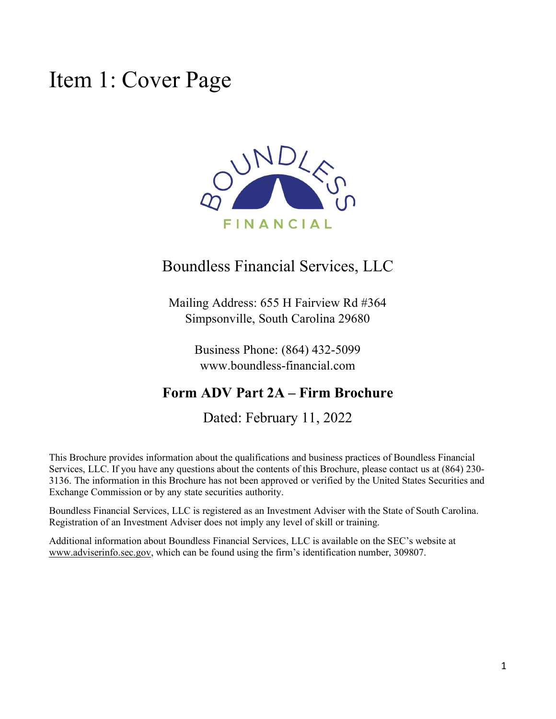### <span id="page-0-0"></span>Item 1: Cover Page



### Boundless Financial Services, LLC

Mailing Address: 655 H Fairview Rd #364 Simpsonville, South Carolina 29680

> Business Phone: (864) 432-5099 www.boundless-financial.com

### **Form ADV Part 2A – Firm Brochure**

Dated: February 11, 2022

This Brochure provides information about the qualifications and business practices of Boundless Financial Services, LLC. If you have any questions about the contents of this Brochure, please contact us at (864) 230- 3136. The information in this Brochure has not been approved or verified by the United States Securities and Exchange Commission or by any state securities authority.

Boundless Financial Services, LLC is registered as an Investment Adviser with the State of South Carolina. Registration of an Investment Adviser does not imply any level of skill or training.

Additional information about Boundless Financial Services, LLC is available on the SEC's website at [www.adviserinfo.sec.gov,](http://www.adviserinfo.sec.gov/) which can be found using the firm's identification number, 309807.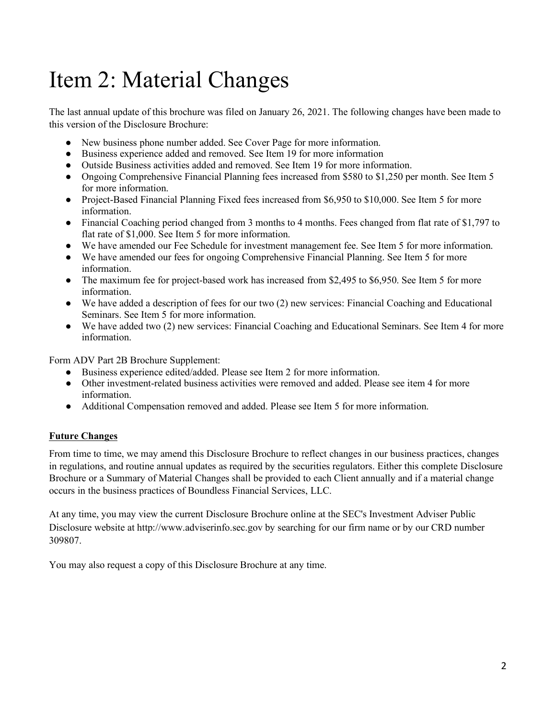# <span id="page-1-0"></span>Item 2: Material Changes

The last annual update of this brochure was filed on January 26, 2021. The following changes have been made to this version of the Disclosure Brochure:

- New business phone number added. See Cover Page for more information.
- Business experience added and removed. See Item 19 for more information
- Outside Business activities added and removed. See Item 19 for more information.
- Ongoing Comprehensive Financial Planning fees increased from \$580 to \$1,250 per month. See Item 5 for more information.
- Project-Based Financial Planning Fixed fees increased from \$6,950 to \$10,000. See Item 5 for more information.
- Financial Coaching period changed from 3 months to 4 months. Fees changed from flat rate of \$1,797 to flat rate of \$1,000. See Item 5 for more information.
- We have amended our Fee Schedule for investment management fee. See Item 5 for more information.
- We have amended our fees for ongoing Comprehensive Financial Planning. See Item 5 for more information.
- The maximum fee for project-based work has increased from \$2,495 to \$6,950. See Item 5 for more information.
- We have added a description of fees for our two (2) new services: Financial Coaching and Educational Seminars. See Item 5 for more information.
- We have added two (2) new services: Financial Coaching and Educational Seminars. See Item 4 for more information.

Form ADV Part 2B Brochure Supplement:

- Business experience edited/added. Please see Item 2 for more information.
- Other investment-related business activities were removed and added. Please see item 4 for more information.
- Additional Compensation removed and added. Please see Item 5 for more information.

#### **Future Changes**

From time to time, we may amend this Disclosure Brochure to reflect changes in our business practices, changes in regulations, and routine annual updates as required by the securities regulators. Either this complete Disclosure Brochure or a Summary of Material Changes shall be provided to each Client annually and if a material change occurs in the business practices of Boundless Financial Services, LLC.

At any time, you may view the current Disclosure Brochure online at the SEC's Investment Adviser Public Disclosure website a[t](http://www.adviserinfo.sec.gov/) [http://www.adviserinfo.sec.gov](http://www.adviserinfo.sec.gov/) by searching for our firm name or by our CRD number 309807.

You may also request a copy of this Disclosure Brochure at any time.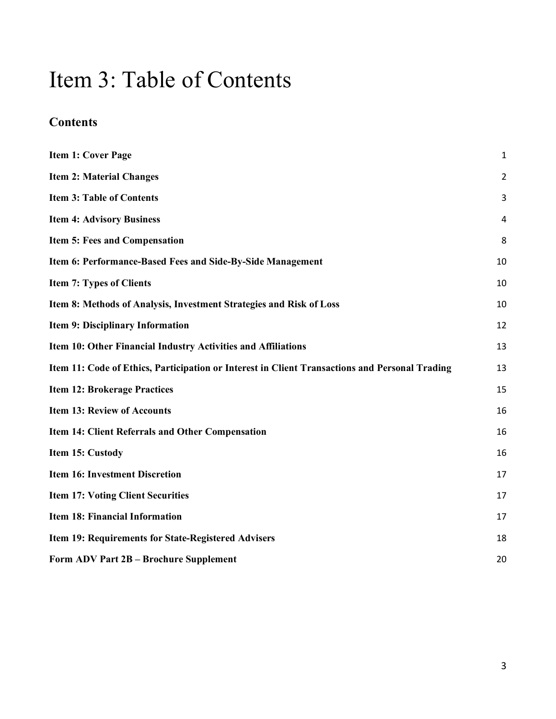## <span id="page-2-0"></span>Item 3: Table of Contents

### **Contents**

| <b>Item 1: Cover Page</b>                                                                      | $\mathbf{1}$   |
|------------------------------------------------------------------------------------------------|----------------|
| <b>Item 2: Material Changes</b>                                                                | $\overline{2}$ |
| <b>Item 3: Table of Contents</b>                                                               | 3              |
| <b>Item 4: Advisory Business</b>                                                               | 4              |
| Item 5: Fees and Compensation                                                                  | 8              |
| Item 6: Performance-Based Fees and Side-By-Side Management                                     | 10             |
| <b>Item 7: Types of Clients</b>                                                                | 10             |
| Item 8: Methods of Analysis, Investment Strategies and Risk of Loss                            | 10             |
| <b>Item 9: Disciplinary Information</b>                                                        | 12             |
| Item 10: Other Financial Industry Activities and Affiliations                                  | 13             |
| Item 11: Code of Ethics, Participation or Interest in Client Transactions and Personal Trading | 13             |
| <b>Item 12: Brokerage Practices</b>                                                            | 15             |
| <b>Item 13: Review of Accounts</b>                                                             | 16             |
| Item 14: Client Referrals and Other Compensation                                               | 16             |
| Item 15: Custody                                                                               | 16             |
| <b>Item 16: Investment Discretion</b>                                                          | 17             |
| <b>Item 17: Voting Client Securities</b>                                                       | 17             |
| Item 18: Financial Information                                                                 | 17             |
| Item 19: Requirements for State-Registered Advisers                                            | 18             |
| Form ADV Part 2B - Brochure Supplement                                                         | 20             |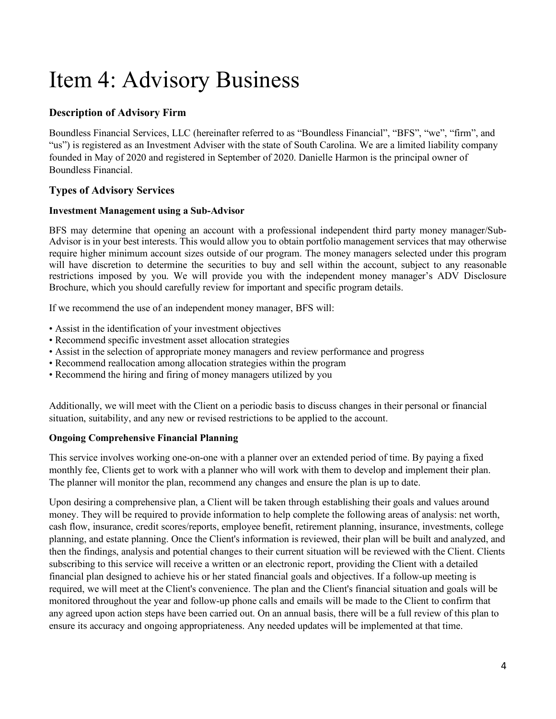# Item 4: Advisory Business

### **Description of Advisory Firm**

Boundless Financial Services, LLC (hereinafter referred to as "Boundless Financial", "BFS", "we", "firm", and "us") is registered as an Investment Adviser with the state of South Carolina. We are a limited liability company founded in May of 2020 and registered in September of 2020. Danielle Harmon is the principal owner of Boundless Financial.

### **Types of Advisory Services**

#### **Investment Management using a Sub-Advisor**

BFS may determine that opening an account with a professional independent third party money manager/Sub-Advisor is in your best interests. This would allow you to obtain portfolio management services that may otherwise require higher minimum account sizes outside of our program. The money managers selected under this program will have discretion to determine the securities to buy and sell within the account, subject to any reasonable restrictions imposed by you. We will provide you with the independent money manager's ADV Disclosure Brochure, which you should carefully review for important and specific program details.

If we recommend the use of an independent money manager, BFS will:

- Assist in the identification of your investment objectives
- Recommend specific investment asset allocation strategies
- Assist in the selection of appropriate money managers and review performance and progress
- Recommend reallocation among allocation strategies within the program
- Recommend the hiring and firing of money managers utilized by you

Additionally, we will meet with the Client on a periodic basis to discuss changes in their personal or financial situation, suitability, and any new or revised restrictions to be applied to the account.

#### **Ongoing Comprehensive Financial Planning**

This service involves working one-on-one with a planner over an extended period of time. By paying a fixed monthly fee, Clients get to work with a planner who will work with them to develop and implement their plan. The planner will monitor the plan, recommend any changes and ensure the plan is up to date.

Upon desiring a comprehensive plan, a Client will be taken through establishing their goals and values around money. They will be required to provide information to help complete the following areas of analysis: net worth, cash flow, insurance, credit scores/reports, employee benefit, retirement planning, insurance, investments, college planning, and estate planning. Once the Client's information is reviewed, their plan will be built and analyzed, and then the findings, analysis and potential changes to their current situation will be reviewed with the Client. Clients subscribing to this service will receive a written or an electronic report, providing the Client with a detailed financial plan designed to achieve his or her stated financial goals and objectives. If a follow-up meeting is required, we will meet at the Client's convenience. The plan and the Client's financial situation and goals will be monitored throughout the year and follow-up phone calls and emails will be made to the Client to confirm that any agreed upon action steps have been carried out. On an annual basis, there will be a full review of this plan to ensure its accuracy and ongoing appropriateness. Any needed updates will be implemented at that time.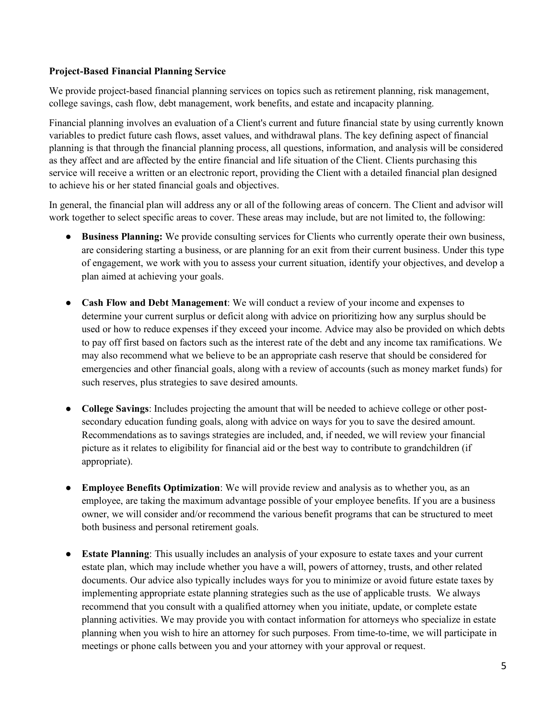#### **Project-Based Financial Planning Service**

We provide project-based financial planning services on topics such as retirement planning, risk management, college savings, cash flow, debt management, work benefits, and estate and incapacity planning.

Financial planning involves an evaluation of a Client's current and future financial state by using currently known variables to predict future cash flows, asset values, and withdrawal plans. The key defining aspect of financial planning is that through the financial planning process, all questions, information, and analysis will be considered as they affect and are affected by the entire financial and life situation of the Client. Clients purchasing this service will receive a written or an electronic report, providing the Client with a detailed financial plan designed to achieve his or her stated financial goals and objectives.

In general, the financial plan will address any or all of the following areas of concern. The Client and advisor will work together to select specific areas to cover. These areas may include, but are not limited to, the following:

- **Business Planning:** We provide consulting services for Clients who currently operate their own business, are considering starting a business, or are planning for an exit from their current business. Under this type of engagement, we work with you to assess your current situation, identify your objectives, and develop a plan aimed at achieving your goals.
- **Cash Flow and Debt Management**: We will conduct a review of your income and expenses to determine your current surplus or deficit along with advice on prioritizing how any surplus should be used or how to reduce expenses if they exceed your income. Advice may also be provided on which debts to pay off first based on factors such as the interest rate of the debt and any income tax ramifications. We may also recommend what we believe to be an appropriate cash reserve that should be considered for emergencies and other financial goals, along with a review of accounts (such as money market funds) for such reserves, plus strategies to save desired amounts.
- **College Savings**: Includes projecting the amount that will be needed to achieve college or other postsecondary education funding goals, along with advice on ways for you to save the desired amount. Recommendations as to savings strategies are included, and, if needed, we will review your financial picture as it relates to eligibility for financial aid or the best way to contribute to grandchildren (if appropriate).
- **Employee Benefits Optimization**: We will provide review and analysis as to whether you, as an employee, are taking the maximum advantage possible of your employee benefits. If you are a business owner, we will consider and/or recommend the various benefit programs that can be structured to meet both business and personal retirement goals.
- **Estate Planning**: This usually includes an analysis of your exposure to estate taxes and your current estate plan, which may include whether you have a will, powers of attorney, trusts, and other related documents. Our advice also typically includes ways for you to minimize or avoid future estate taxes by implementing appropriate estate planning strategies such as the use of applicable trusts. We always recommend that you consult with a qualified attorney when you initiate, update, or complete estate planning activities. We may provide you with contact information for attorneys who specialize in estate planning when you wish to hire an attorney for such purposes. From time-to-time, we will participate in meetings or phone calls between you and your attorney with your approval or request.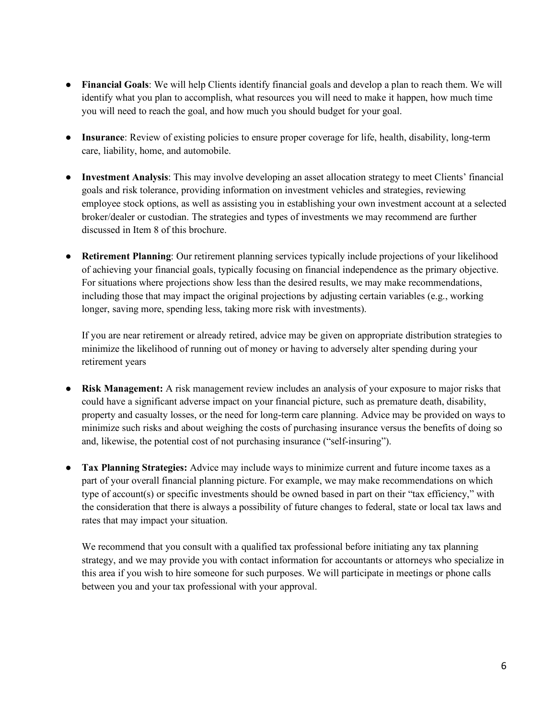- **Financial Goals**: We will help Clients identify financial goals and develop a plan to reach them. We will identify what you plan to accomplish, what resources you will need to make it happen, how much time you will need to reach the goal, and how much you should budget for your goal.
- **Insurance**: Review of existing policies to ensure proper coverage for life, health, disability, long-term care, liability, home, and automobile.
- **Investment Analysis**: This may involve developing an asset allocation strategy to meet Clients' financial goals and risk tolerance, providing information on investment vehicles and strategies, reviewing employee stock options, as well as assisting you in establishing your own investment account at a selected broker/dealer or custodian. The strategies and types of investments we may recommend are further discussed in Item 8 of this brochure.
- **Retirement Planning**: Our retirement planning services typically include projections of your likelihood of achieving your financial goals, typically focusing on financial independence as the primary objective. For situations where projections show less than the desired results, we may make recommendations, including those that may impact the original projections by adjusting certain variables (e.g., working longer, saving more, spending less, taking more risk with investments).

If you are near retirement or already retired, advice may be given on appropriate distribution strategies to minimize the likelihood of running out of money or having to adversely alter spending during your retirement years

- **Risk Management:** A risk management review includes an analysis of your exposure to major risks that could have a significant adverse impact on your financial picture, such as premature death, disability, property and casualty losses, or the need for long-term care planning. Advice may be provided on ways to minimize such risks and about weighing the costs of purchasing insurance versus the benefits of doing so and, likewise, the potential cost of not purchasing insurance ("self‐insuring").
- **Tax Planning Strategies:** Advice may include ways to minimize current and future income taxes as a part of your overall financial planning picture. For example, we may make recommendations on which type of account(s) or specific investments should be owned based in part on their "tax efficiency," with the consideration that there is always a possibility of future changes to federal, state or local tax laws and rates that may impact your situation.

We recommend that you consult with a qualified tax professional before initiating any tax planning strategy, and we may provide you with contact information for accountants or attorneys who specialize in this area if you wish to hire someone for such purposes. We will participate in meetings or phone calls between you and your tax professional with your approval.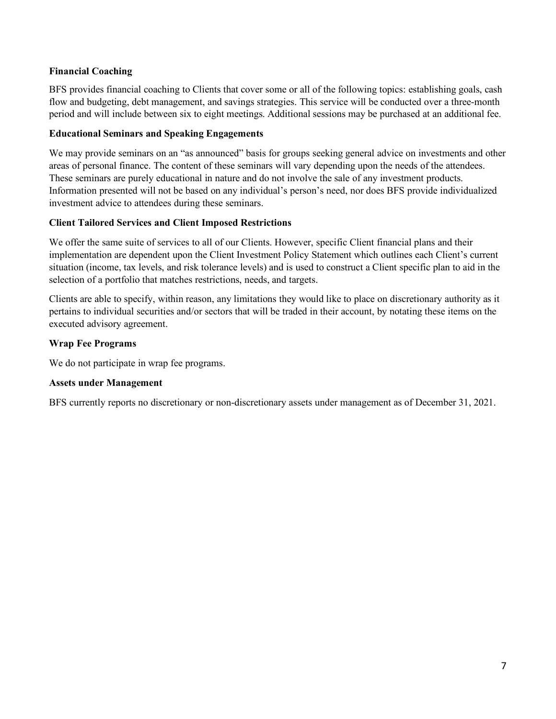#### **Financial Coaching**

BFS provides financial coaching to Clients that cover some or all of the following topics: establishing goals, cash flow and budgeting, debt management, and savings strategies. This service will be conducted over a three-month period and will include between six to eight meetings. Additional sessions may be purchased at an additional fee.

#### **Educational Seminars and Speaking Engagements**

We may provide seminars on an "as announced" basis for groups seeking general advice on investments and other areas of personal finance. The content of these seminars will vary depending upon the needs of the attendees. These seminars are purely educational in nature and do not involve the sale of any investment products. Information presented will not be based on any individual's person's need, nor does BFS provide individualized investment advice to attendees during these seminars.

#### **Client Tailored Services and Client Imposed Restrictions**

We offer the same suite of services to all of our Clients. However, specific Client financial plans and their implementation are dependent upon the Client Investment Policy Statement which outlines each Client's current situation (income, tax levels, and risk tolerance levels) and is used to construct a Client specific plan to aid in the selection of a portfolio that matches restrictions, needs, and targets.

Clients are able to specify, within reason, any limitations they would like to place on discretionary authority as it pertains to individual securities and/or sectors that will be traded in their account, by notating these items on the executed advisory agreement.

#### **Wrap Fee Programs**

We do not participate in wrap fee programs.

#### **Assets under Management**

BFS currently reports no discretionary or non-discretionary assets under management as of December 31, 2021.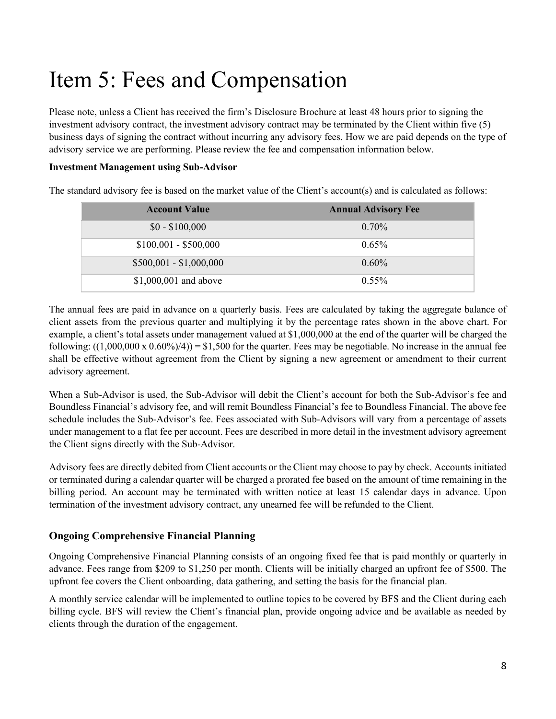# <span id="page-7-0"></span>Item 5: Fees and Compensation

Please note, unless a Client has received the firm's Disclosure Brochure at least 48 hours prior to signing the investment advisory contract, the investment advisory contract may be terminated by the Client within five (5) business days of signing the contract without incurring any advisory fees. How we are paid depends on the type of advisory service we are performing. Please review the fee and compensation information below.

#### **Investment Management using Sub-Advisor**

The standard advisory fee is based on the market value of the Client's account(s) and is calculated as follows:

| <b>Account Value</b>    | <b>Annual Advisory Fee</b> |
|-------------------------|----------------------------|
| $$0 - $100,000$         | $0.70\%$                   |
| $$100,001 - $500,000$   | $0.65\%$                   |
| $$500,001 - $1,000,000$ | $0.60\%$                   |
| $$1,000,001$ and above  | $0.55\%$                   |

The annual fees are paid in advance on a quarterly basis. Fees are calculated by taking the aggregate balance of client assets from the previous quarter and multiplying it by the percentage rates shown in the above chart. For example, a client's total assets under management valued at \$1,000,000 at the end of the quarter will be charged the following:  $((1,000,000 \times 0.60\%/4)) = $1,500$  for the quarter. Fees may be negotiable. No increase in the annual fee shall be effective without agreement from the Client by signing a new agreement or amendment to their current advisory agreement.

When a Sub-Advisor is used, the Sub-Advisor will debit the Client's account for both the Sub-Advisor's fee and Boundless Financial's advisory fee, and will remit Boundless Financial's fee to Boundless Financial. The above fee schedule includes the Sub-Advisor's fee. Fees associated with Sub-Advisors will vary from a percentage of assets under management to a flat fee per account. Fees are described in more detail in the investment advisory agreement the Client signs directly with the Sub-Advisor.

Advisory fees are directly debited from Client accounts or the Client may choose to pay by check. Accounts initiated or terminated during a calendar quarter will be charged a prorated fee based on the amount of time remaining in the billing period. An account may be terminated with written notice at least 15 calendar days in advance. Upon termination of the investment advisory contract, any unearned fee will be refunded to the Client.

#### **Ongoing Comprehensive Financial Planning**

Ongoing Comprehensive Financial Planning consists of an ongoing fixed fee that is paid monthly or quarterly in advance. Fees range from \$209 to \$1,250 per month. Clients will be initially charged an upfront fee of \$500. The upfront fee covers the Client onboarding, data gathering, and setting the basis for the financial plan.

A monthly service calendar will be implemented to outline topics to be covered by BFS and the Client during each billing cycle. BFS will review the Client's financial plan, provide ongoing advice and be available as needed by clients through the duration of the engagement.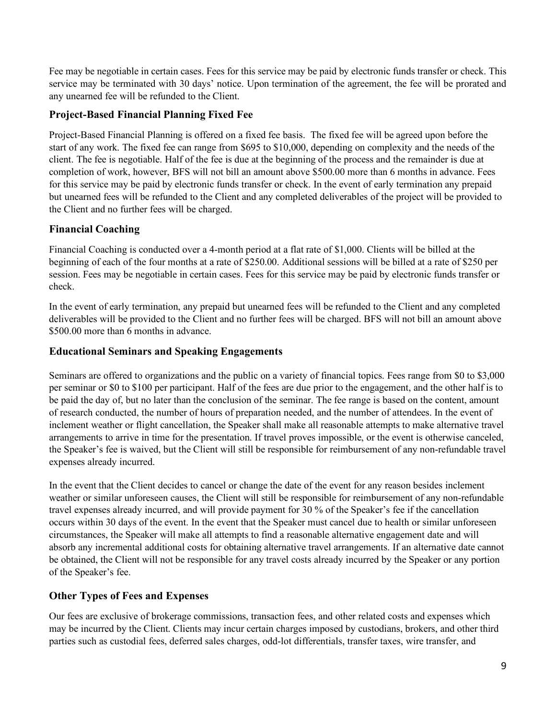Fee may be negotiable in certain cases. Fees for this service may be paid by electronic funds transfer or check. This service may be terminated with 30 days' notice. Upon termination of the agreement, the fee will be prorated and any unearned fee will be refunded to the Client.

#### **Project-Based Financial Planning Fixed Fee**

Project-Based Financial Planning is offered on a fixed fee basis. The fixed fee will be agreed upon before the start of any work. The fixed fee can range from \$695 to \$10,000, depending on complexity and the needs of the client. The fee is negotiable. Half of the fee is due at the beginning of the process and the remainder is due at completion of work, however, BFS will not bill an amount above \$500.00 more than 6 months in advance. Fees for this service may be paid by electronic funds transfer or check. In the event of early termination any prepaid but unearned fees will be refunded to the Client and any completed deliverables of the project will be provided to the Client and no further fees will be charged.

### **Financial Coaching**

Financial Coaching is conducted over a 4-month period at a flat rate of \$1,000. Clients will be billed at the beginning of each of the four months at a rate of \$250.00. Additional sessions will be billed at a rate of \$250 per session. Fees may be negotiable in certain cases. Fees for this service may be paid by electronic funds transfer or check.

In the event of early termination, any prepaid but unearned fees will be refunded to the Client and any completed deliverables will be provided to the Client and no further fees will be charged. BFS will not bill an amount above \$500.00 more than 6 months in advance.

#### **Educational Seminars and Speaking Engagements**

Seminars are offered to organizations and the public on a variety of financial topics. Fees range from \$0 to \$3,000 per seminar or \$0 to \$100 per participant. Half of the fees are due prior to the engagement, and the other half is to be paid the day of, but no later than the conclusion of the seminar. The fee range is based on the content, amount of research conducted, the number of hours of preparation needed, and the number of attendees. In the event of inclement weather or flight cancellation, the Speaker shall make all reasonable attempts to make alternative travel arrangements to arrive in time for the presentation. If travel proves impossible, or the event is otherwise canceled, the Speaker's fee is waived, but the Client will still be responsible for reimbursement of any non-refundable travel expenses already incurred.

In the event that the Client decides to cancel or change the date of the event for any reason besides inclement weather or similar unforeseen causes, the Client will still be responsible for reimbursement of any non-refundable travel expenses already incurred, and will provide payment for 30 % of the Speaker's fee if the cancellation occurs within 30 days of the event. In the event that the Speaker must cancel due to health or similar unforeseen circumstances, the Speaker will make all attempts to find a reasonable alternative engagement date and will absorb any incremental additional costs for obtaining alternative travel arrangements. If an alternative date cannot be obtained, the Client will not be responsible for any travel costs already incurred by the Speaker or any portion of the Speaker's fee.

### **Other Types of Fees and Expenses**

Our fees are exclusive of brokerage commissions, transaction fees, and other related costs and expenses which may be incurred by the Client. Clients may incur certain charges imposed by custodians, brokers, and other third parties such as custodial fees, deferred sales charges, odd-lot differentials, transfer taxes, wire transfer, and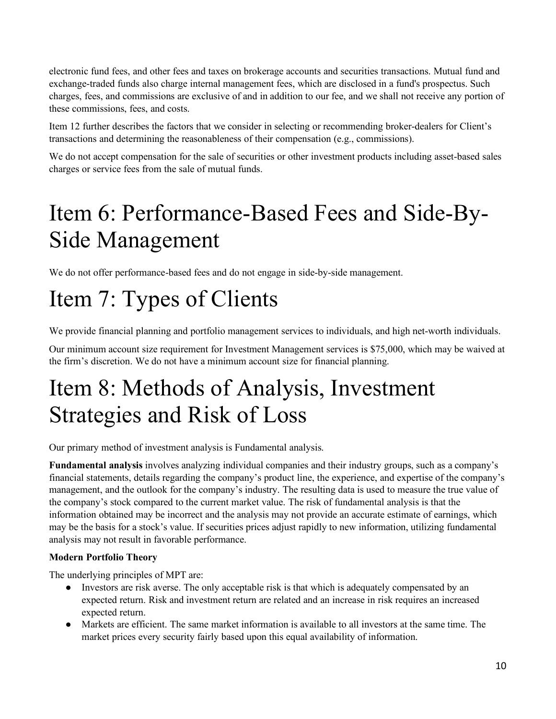electronic fund fees, and other fees and taxes on brokerage accounts and securities transactions. Mutual fund and exchange-traded funds also charge internal management fees, which are disclosed in a fund's prospectus. Such charges, fees, and commissions are exclusive of and in addition to our fee, and we shall not receive any portion of these commissions, fees, and costs.

Item 12 further describes the factors that we consider in selecting or recommending broker-dealers for Client's transactions and determining the reasonableness of their compensation (e.g., commissions).

We do not accept compensation for the sale of securities or other investment products including asset-based sales charges or service fees from the sale of mutual funds.

# <span id="page-9-0"></span>Item 6: Performance-Based Fees and Side-By-Side Management

We do not offer performance-based fees and do not engage in side-by-side management.

# <span id="page-9-1"></span>Item 7: Types of Clients

We provide financial planning and portfolio management services to individuals, and high net-worth individuals.

Our minimum account size requirement for Investment Management services is \$75,000, which may be waived at the firm's discretion. We do not have a minimum account size for financial planning.

### <span id="page-9-2"></span>Item 8: Methods of Analysis, Investment Strategies and Risk of Loss

Our primary method of investment analysis is Fundamental analysis.

**Fundamental analysis** involves analyzing individual companies and their industry groups, such as a company's financial statements, details regarding the company's product line, the experience, and expertise of the company's management, and the outlook for the company's industry. The resulting data is used to measure the true value of the company's stock compared to the current market value. The risk of fundamental analysis is that the information obtained may be incorrect and the analysis may not provide an accurate estimate of earnings, which may be the basis for a stock's value. If securities prices adjust rapidly to new information, utilizing fundamental analysis may not result in favorable performance.

### **Modern Portfolio Theory**

The underlying principles of MPT are:

- Investors are risk averse. The only acceptable risk is that which is adequately compensated by an expected return. Risk and investment return are related and an increase in risk requires an increased expected return.
- Markets are efficient. The same market information is available to all investors at the same time. The market prices every security fairly based upon this equal availability of information.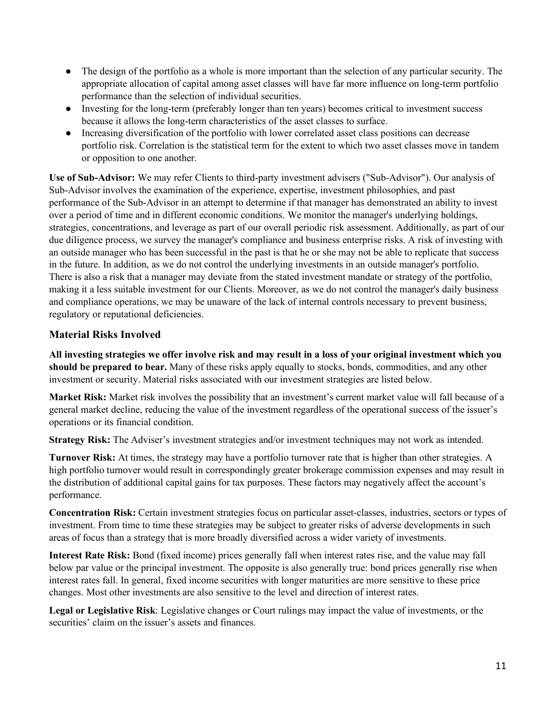- The design of the portfolio as a whole is more important than the selection of any particular security. The appropriate allocation of capital among asset classes will have far more influence on long-term portfolio performance than the selection of individual securities.
- Investing for the long-term (preferably longer than ten years) becomes critical to investment success because it allows the long-term characteristics of the asset classes to surface.
- Increasing diversification of the portfolio with lower correlated asset class positions can decrease portfolio risk. Correlation is the statistical term for the extent to which two asset classes move in tandem or opposition to one another.

**Use of Sub-Advisor:** We may refer Clients to third-party investment advisers ("Sub-Advisor"). Our analysis of Sub-Advisor involves the examination of the experience, expertise, investment philosophies, and past performance of the Sub-Advisor in an attempt to determine if that manager has demonstrated an ability to invest over a period of time and in different economic conditions. We monitor the manager's underlying holdings, strategies, concentrations, and leverage as part of our overall periodic risk assessment. Additionally, as part of our due diligence process, we survey the manager's compliance and business enterprise risks. A risk of investing with an outside manager who has been successful in the past is that he or she may not be able to replicate that success in the future. In addition, as we do not control the underlying investments in an outside manager's portfolio. There is also a risk that a manager may deviate from the stated investment mandate or strategy of the portfolio, making it a less suitable investment for our Clients. Moreover, as we do not control the manager's daily business and compliance operations, we may be unaware of the lack of internal controls necessary to prevent business, regulatory or reputational deficiencies.

### **Material Risks Involved**

**All investing strategies we offer involve risk and may result in a loss of your original investment which you should be prepared to bear.** Many of these risks apply equally to stocks, bonds, commodities, and any other investment or security. Material risks associated with our investment strategies are listed below.

**Market Risk:** Market risk involves the possibility that an investment's current market value will fall because of a general market decline, reducing the value of the investment regardless of the operational success of the issuer's operations or its financial condition.

**Strategy Risk:** The Adviser's investment strategies and/or investment techniques may not work as intended.

**Turnover Risk:** At times, the strategy may have a portfolio turnover rate that is higher than other strategies. A high portfolio turnover would result in correspondingly greater brokerage commission expenses and may result in the distribution of additional capital gains for tax purposes. These factors may negatively affect the account's performance.

**Concentration Risk:** Certain investment strategies focus on particular asset-classes, industries, sectors or types of investment. From time to time these strategies may be subject to greater risks of adverse developments in such areas of focus than a strategy that is more broadly diversified across a wider variety of investments.

**Interest Rate Risk:** Bond (fixed income) prices generally fall when interest rates rise, and the value may fall below par value or the principal investment. The opposite is also generally true: bond prices generally rise when interest rates fall. In general, fixed income securities with longer maturities are more sensitive to these price changes. Most other investments are also sensitive to the level and direction of interest rates.

**Legal or Legislative Risk**: Legislative changes or Court rulings may impact the value of investments, or the securities' claim on the issuer's assets and finances.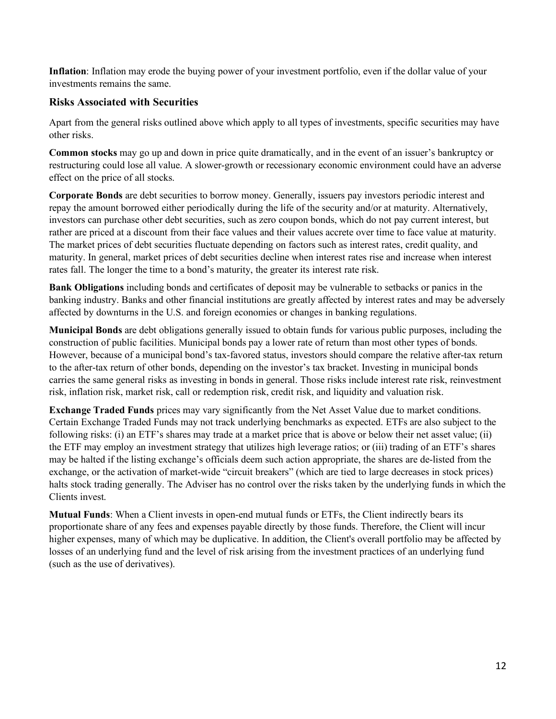**Inflation**: Inflation may erode the buying power of your investment portfolio, even if the dollar value of your investments remains the same.

#### **Risks Associated with Securities**

Apart from the general risks outlined above which apply to all types of investments, specific securities may have other risks.

**Common stocks** may go up and down in price quite dramatically, and in the event of an issuer's bankruptcy or restructuring could lose all value. A slower-growth or recessionary economic environment could have an adverse effect on the price of all stocks.

**Corporate Bonds** are debt securities to borrow money. Generally, issuers pay investors periodic interest and repay the amount borrowed either periodically during the life of the security and/or at maturity. Alternatively, investors can purchase other debt securities, such as zero coupon bonds, which do not pay current interest, but rather are priced at a discount from their face values and their values accrete over time to face value at maturity. The market prices of debt securities fluctuate depending on factors such as interest rates, credit quality, and maturity. In general, market prices of debt securities decline when interest rates rise and increase when interest rates fall. The longer the time to a bond's maturity, the greater its interest rate risk.

**Bank Obligations** including bonds and certificates of deposit may be vulnerable to setbacks or panics in the banking industry. Banks and other financial institutions are greatly affected by interest rates and may be adversely affected by downturns in the U.S. and foreign economies or changes in banking regulations.

**Municipal Bonds** are debt obligations generally issued to obtain funds for various public purposes, including the construction of public facilities. Municipal bonds pay a lower rate of return than most other types of bonds. However, because of a municipal bond's tax-favored status, investors should compare the relative after-tax return to the after-tax return of other bonds, depending on the investor's tax bracket. Investing in municipal bonds carries the same general risks as investing in bonds in general. Those risks include interest rate risk, reinvestment risk, inflation risk, market risk, call or redemption risk, credit risk, and liquidity and valuation risk.

**Exchange Traded Funds** prices may vary significantly from the Net Asset Value due to market conditions. Certain Exchange Traded Funds may not track underlying benchmarks as expected. ETFs are also subject to the following risks: (i) an ETF's shares may trade at a market price that is above or below their net asset value; (ii) the ETF may employ an investment strategy that utilizes high leverage ratios; or (iii) trading of an ETF's shares may be halted if the listing exchange's officials deem such action appropriate, the shares are de-listed from the exchange, or the activation of market-wide "circuit breakers" (which are tied to large decreases in stock prices) halts stock trading generally. The Adviser has no control over the risks taken by the underlying funds in which the Clients invest.

<span id="page-11-0"></span>**Mutual Funds**: When a Client invests in open-end mutual funds or ETFs, the Client indirectly bears its proportionate share of any fees and expenses payable directly by those funds. Therefore, the Client will incur higher expenses, many of which may be duplicative. In addition, the Client's overall portfolio may be affected by losses of an underlying fund and the level of risk arising from the investment practices of an underlying fund (such as the use of derivatives).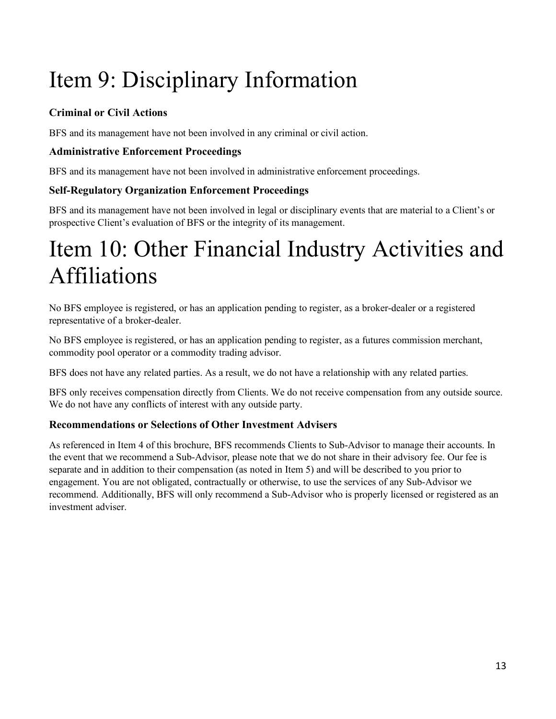# Item 9: Disciplinary Information

### **Criminal or Civil Actions**

BFS and its management have not been involved in any criminal or civil action.

### **Administrative Enforcement Proceedings**

BFS and its management have not been involved in administrative enforcement proceedings.

### **Self-Regulatory Organization Enforcement Proceedings**

BFS and its management have not been involved in legal or disciplinary events that are material to a Client's or prospective Client's evaluation of BFS or the integrity of its management.

# <span id="page-12-0"></span>Item 10: Other Financial Industry Activities and Affiliations

No BFS employee is registered, or has an application pending to register, as a broker-dealer or a registered representative of a broker-dealer.

No BFS employee is registered, or has an application pending to register, as a futures commission merchant, commodity pool operator or a commodity trading advisor.

BFS does not have any related parties. As a result, we do not have a relationship with any related parties.

BFS only receives compensation directly from Clients. We do not receive compensation from any outside source. We do not have any conflicts of interest with any outside party.

### **Recommendations or Selections of Other Investment Advisers**

<span id="page-12-1"></span>As referenced in Item 4 of this brochure, BFS recommends Clients to Sub-Advisor to manage their accounts. In the event that we recommend a Sub-Advisor, please note that we do not share in their advisory fee. Our fee is separate and in addition to their compensation (as noted in Item 5) and will be described to you prior to engagement. You are not obligated, contractually or otherwise, to use the services of any Sub-Advisor we recommend. Additionally, BFS will only recommend a Sub-Advisor who is properly licensed or registered as an investment adviser.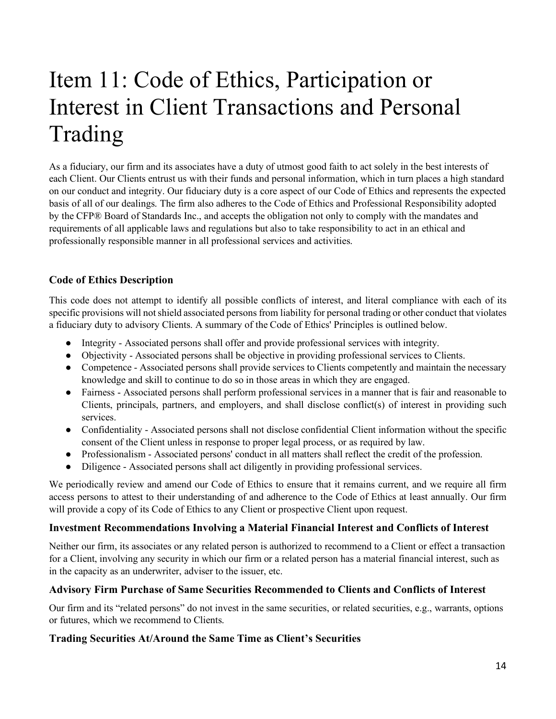# Item 11: Code of Ethics, Participation or Interest in Client Transactions and Personal Trading

As a fiduciary, our firm and its associates have a duty of utmost good faith to act solely in the best interests of each Client. Our Clients entrust us with their funds and personal information, which in turn places a high standard on our conduct and integrity. Our fiduciary duty is a core aspect of our Code of Ethics and represents the expected basis of all of our dealings. The firm also adheres to the Code of Ethics and Professional Responsibility adopted by the CFP® Board of Standards Inc., and accepts the obligation not only to comply with the mandates and requirements of all applicable laws and regulations but also to take responsibility to act in an ethical and professionally responsible manner in all professional services and activities.

### **Code of Ethics Description**

This code does not attempt to identify all possible conflicts of interest, and literal compliance with each of its specific provisions will not shield associated persons from liability for personal trading or other conduct that violates a fiduciary duty to advisory Clients. A summary of the Code of Ethics' Principles is outlined below.

- Integrity Associated persons shall offer and provide professional services with integrity.
- Objectivity Associated persons shall be objective in providing professional services to Clients.
- Competence Associated persons shall provide services to Clients competently and maintain the necessary knowledge and skill to continue to do so in those areas in which they are engaged.
- Fairness Associated persons shall perform professional services in a manner that is fair and reasonable to Clients, principals, partners, and employers, and shall disclose conflict(s) of interest in providing such services.
- Confidentiality Associated persons shall not disclose confidential Client information without the specific consent of the Client unless in response to proper legal process, or as required by law.
- Professionalism Associated persons' conduct in all matters shall reflect the credit of the profession.
- Diligence Associated persons shall act diligently in providing professional services.

We periodically review and amend our Code of Ethics to ensure that it remains current, and we require all firm access persons to attest to their understanding of and adherence to the Code of Ethics at least annually. Our firm will provide a copy of its Code of Ethics to any Client or prospective Client upon request.

### **Investment Recommendations Involving a Material Financial Interest and Conflicts of Interest**

Neither our firm, its associates or any related person is authorized to recommend to a Client or effect a transaction for a Client, involving any security in which our firm or a related person has a material financial interest, such as in the capacity as an underwriter, adviser to the issuer, etc.

### **Advisory Firm Purchase of Same Securities Recommended to Clients and Conflicts of Interest**

Our firm and its "related persons" do not invest in the same securities, or related securities, e.g., warrants, options or futures, which we recommend to Clients.

### **Trading Securities At/Around the Same Time as Client's Securities**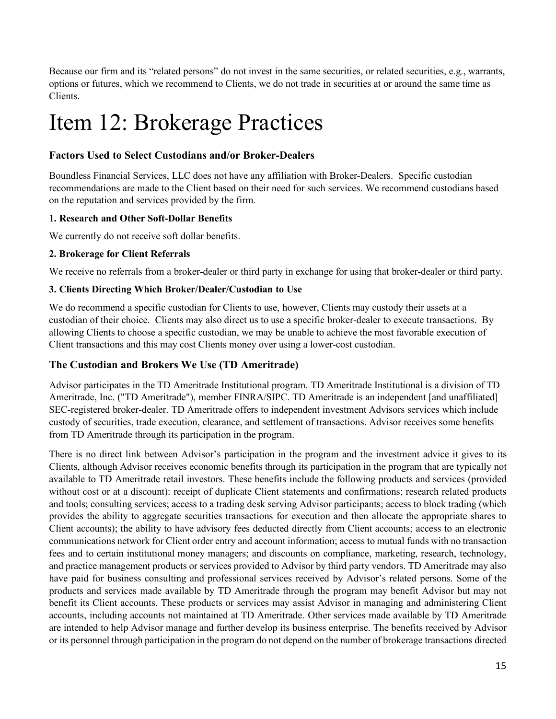Because our firm and its "related persons" do not invest in the same securities, or related securities, e.g., warrants, options or futures, which we recommend to Clients, we do not trade in securities at or around the same time as Clients.

## <span id="page-14-0"></span>Item 12: Brokerage Practices

#### **Factors Used to Select Custodians and/or Broker-Dealers**

Boundless Financial Services, LLC does not have any affiliation with Broker-Dealers. Specific custodian recommendations are made to the Client based on their need for such services. We recommend custodians based on the reputation and services provided by the firm.

#### **1. Research and Other Soft-Dollar Benefits**

We currently do not receive soft dollar benefits.

#### **2. Brokerage for Client Referrals**

We receive no referrals from a broker-dealer or third party in exchange for using that broker-dealer or third party.

#### **3. Clients Directing Which Broker/Dealer/Custodian to Use**

We do recommend a specific custodian for Clients to use, however, Clients may custody their assets at a custodian of their choice. Clients may also direct us to use a specific broker-dealer to execute transactions. By allowing Clients to choose a specific custodian, we may be unable to achieve the most favorable execution of Client transactions and this may cost Clients money over using a lower-cost custodian.

#### **The Custodian and Brokers We Use (TD Ameritrade)**

Advisor participates in the TD Ameritrade Institutional program. TD Ameritrade Institutional is a division of TD Ameritrade, Inc. ("TD Ameritrade"), member FINRA/SIPC. TD Ameritrade is an independent [and unaffiliated] SEC-registered broker-dealer. TD Ameritrade offers to independent investment Advisors services which include custody of securities, trade execution, clearance, and settlement of transactions. Advisor receives some benefits from TD Ameritrade through its participation in the program.

There is no direct link between Advisor's participation in the program and the investment advice it gives to its Clients, although Advisor receives economic benefits through its participation in the program that are typically not available to TD Ameritrade retail investors. These benefits include the following products and services (provided without cost or at a discount): receipt of duplicate Client statements and confirmations; research related products and tools; consulting services; access to a trading desk serving Advisor participants; access to block trading (which provides the ability to aggregate securities transactions for execution and then allocate the appropriate shares to Client accounts); the ability to have advisory fees deducted directly from Client accounts; access to an electronic communications network for Client order entry and account information; access to mutual funds with no transaction fees and to certain institutional money managers; and discounts on compliance, marketing, research, technology, and practice management products or services provided to Advisor by third party vendors. TD Ameritrade may also have paid for business consulting and professional services received by Advisor's related persons. Some of the products and services made available by TD Ameritrade through the program may benefit Advisor but may not benefit its Client accounts. These products or services may assist Advisor in managing and administering Client accounts, including accounts not maintained at TD Ameritrade. Other services made available by TD Ameritrade are intended to help Advisor manage and further develop its business enterprise. The benefits received by Advisor or its personnel through participation in the program do not depend on the number of brokerage transactions directed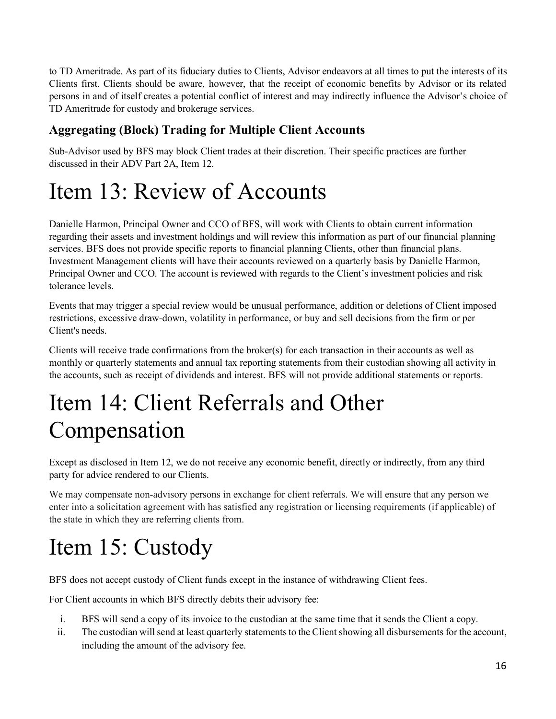to TD Ameritrade. As part of its fiduciary duties to Clients, Advisor endeavors at all times to put the interests of its Clients first. Clients should be aware, however, that the receipt of economic benefits by Advisor or its related persons in and of itself creates a potential conflict of interest and may indirectly influence the Advisor's choice of TD Ameritrade for custody and brokerage services.

### **Aggregating (Block) Trading for Multiple Client Accounts**

Sub-Advisor used by BFS may block Client trades at their discretion. Their specific practices are further discussed in their ADV Part 2A, Item 12.

# <span id="page-15-0"></span>Item 13: Review of Accounts

Danielle Harmon, Principal Owner and CCO of BFS, will work with Clients to obtain current information regarding their assets and investment holdings and will review this information as part of our financial planning services. BFS does not provide specific reports to financial planning Clients, other than financial plans. Investment Management clients will have their accounts reviewed on a quarterly basis by Danielle Harmon, Principal Owner and CCO. The account is reviewed with regards to the Client's investment policies and risk tolerance levels.

Events that may trigger a special review would be unusual performance, addition or deletions of Client imposed restrictions, excessive draw-down, volatility in performance, or buy and sell decisions from the firm or per Client's needs.

Clients will receive trade confirmations from the broker(s) for each transaction in their accounts as well as monthly or quarterly statements and annual tax reporting statements from their custodian showing all activity in the accounts, such as receipt of dividends and interest. BFS will not provide additional statements or reports.

# <span id="page-15-1"></span>Item 14: Client Referrals and Other Compensation

Except as disclosed in Item 12, we do not receive any economic benefit, directly or indirectly, from any third party for advice rendered to our Clients.

We may compensate non-advisory persons in exchange for client referrals. We will ensure that any person we enter into a solicitation agreement with has satisfied any registration or licensing requirements (if applicable) of the state in which they are referring clients from.

# <span id="page-15-2"></span>Item 15: Custody

BFS does not accept custody of Client funds except in the instance of withdrawing Client fees.

For Client accounts in which BFS directly debits their advisory fee:

- i. BFS will send a copy of its invoice to the custodian at the same time that it sends the Client a copy.
- ii. The custodian will send at least quarterly statements to the Client showing all disbursements for the account, including the amount of the advisory fee.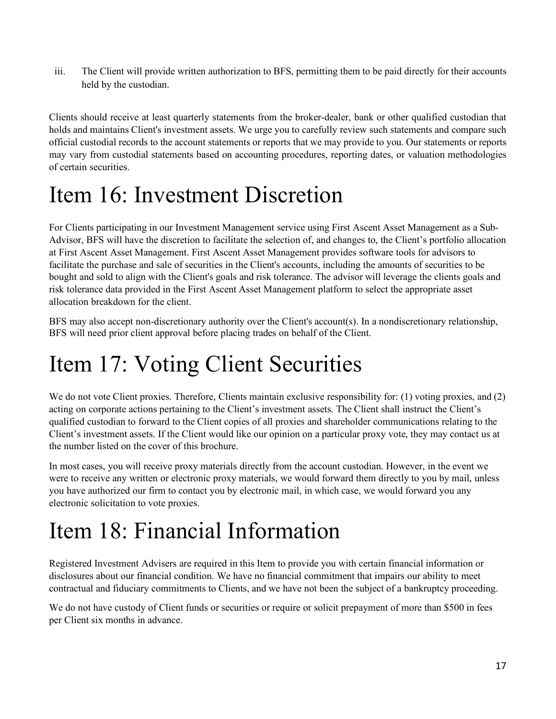iii. The Client will provide written authorization to BFS, permitting them to be paid directly for their accounts held by the custodian.

Clients should receive at least quarterly statements from the broker-dealer, bank or other qualified custodian that holds and maintains Client's investment assets. We urge you to carefully review such statements and compare such official custodial records to the account statements or reports that we may provide to you. Our statements or reports may vary from custodial statements based on accounting procedures, reporting dates, or valuation methodologies of certain securities.

# <span id="page-16-0"></span>Item 16: Investment Discretion

For Clients participating in our Investment Management service using First Ascent Asset Management as a Sub-Advisor, BFS will have the discretion to facilitate the selection of, and changes to, the Client's portfolio allocation at First Ascent Asset Management. First Ascent Asset Management provides software tools for advisors to facilitate the purchase and sale of securities in the Client's accounts, including the amounts of securities to be bought and sold to align with the Client's goals and risk tolerance. The advisor will leverage the clients goals and risk tolerance data provided in the First Ascent Asset Management platform to select the appropriate asset allocation breakdown for the client.

BFS may also accept non-discretionary authority over the Client's account(s). In a nondiscretionary relationship, BFS will need prior client approval before placing trades on behalf of the Client.

# <span id="page-16-1"></span>Item 17: Voting Client Securities

We do not vote Client proxies. Therefore, Clients maintain exclusive responsibility for: (1) voting proxies, and (2) acting on corporate actions pertaining to the Client's investment assets. The Client shall instruct the Client's qualified custodian to forward to the Client copies of all proxies and shareholder communications relating to the Client's investment assets. If the Client would like our opinion on a particular proxy vote, they may contact us at the number listed on the cover of this brochure.

In most cases, you will receive proxy materials directly from the account custodian. However, in the event we were to receive any written or electronic proxy materials, we would forward them directly to you by mail, unless you have authorized our firm to contact you by electronic mail, in which case, we would forward you any electronic solicitation to vote proxies.

### <span id="page-16-2"></span>Item 18: Financial Information

Registered Investment Advisers are required in this Item to provide you with certain financial information or disclosures about our financial condition. We have no financial commitment that impairs our ability to meet contractual and fiduciary commitments to Clients, and we have not been the subject of a bankruptcy proceeding.

We do not have custody of Client funds or securities or require or solicit prepayment of more than \$500 in fees per Client six months in advance.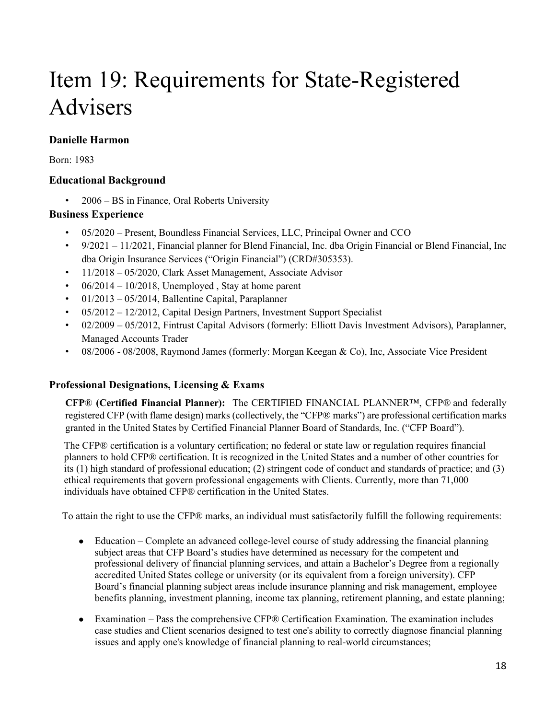# <span id="page-17-0"></span>Item 19: Requirements for State-Registered Advisers

### **Danielle Harmon**

Born: 1983

### **Educational Background**

• 2006 – BS in Finance, Oral Roberts University

### **Business Experience**

- 05/2020 Present, Boundless Financial Services, LLC, Principal Owner and CCO
- $9/2021 11/2021$ , Financial planner for Blend Financial, Inc. dba Origin Financial or Blend Financial, Inc. dba Origin Insurance Services ("Origin Financial") (CRD#305353).
- 11/2018 05/2020, Clark Asset Management, Associate Advisor
- $06/2014 10/2018$ , Unemployed, Stay at home parent
- $01/2013 05/2014$ , Ballentine Capital, Paraplanner
- 05/2012 12/2012, Capital Design Partners, Investment Support Specialist
- 02/2009 05/2012, Fintrust Capital Advisors (formerly: Elliott Davis Investment Advisors), Paraplanner, Managed Accounts Trader
- 08/2006 08/2008, Raymond James (formerly: Morgan Keegan & Co), Inc, Associate Vice President

### **Professional Designations, Licensing & Exams**

**CFP**® **(Certified Financial Planner):** The CERTIFIED FINANCIAL PLANNER™, CFP® and federally registered CFP (with flame design) marks (collectively, the "CFP® marks") are professional certification marks granted in the United States by Certified Financial Planner Board of Standards, Inc. ("CFP Board").

The CFP® certification is a voluntary certification; no federal or state law or regulation requires financial planners to hold CFP® certification. It is recognized in the United States and a number of other countries for its (1) high standard of professional education; (2) stringent code of conduct and standards of practice; and (3) ethical requirements that govern professional engagements with Clients. Currently, more than 71,000 individuals have obtained CFP® certification in the United States.

To attain the right to use the CFP® marks, an individual must satisfactorily fulfill the following requirements:

- Education Complete an advanced college-level course of study addressing the financial planning subject areas that CFP Board's studies have determined as necessary for the competent and professional delivery of financial planning services, and attain a Bachelor's Degree from a regionally accredited United States college or university (or its equivalent from a foreign university). CFP Board's financial planning subject areas include insurance planning and risk management, employee benefits planning, investment planning, income tax planning, retirement planning, and estate planning;
- Examination Pass the comprehensive CFP® Certification Examination. The examination includes case studies and Client scenarios designed to test one's ability to correctly diagnose financial planning issues and apply one's knowledge of financial planning to real-world circumstances;